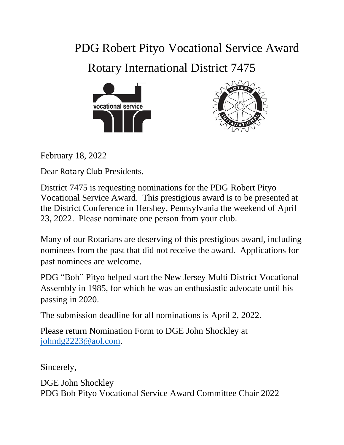# PDG Robert Pityo Vocational Service Award

Rotary International District 7475





February 18, 2022

Dear Rotary Club Presidents,

District 7475 is requesting nominations for the PDG Robert Pityo Vocational Service Award. This prestigious award is to be presented at the District Conference in Hershey, Pennsylvania the weekend of April 23, 2022. Please nominate one person from your club.

Many of our Rotarians are deserving of this prestigious award, including nominees from the past that did not receive the award. Applications for past nominees are welcome.

PDG "Bob" Pityo helped start the New Jersey Multi District Vocational Assembly in 1985, for which he was an enthusiastic advocate until his passing in 2020.

The submission deadline for all nominations is April 2, 2022.

Please return Nomination Form to DGE John Shockley at [johndg2223@aol.com.](mailto:johndg2223@aol.com)

Sincerely,

DGE John Shockley PDG Bob Pityo Vocational Service Award Committee Chair 2022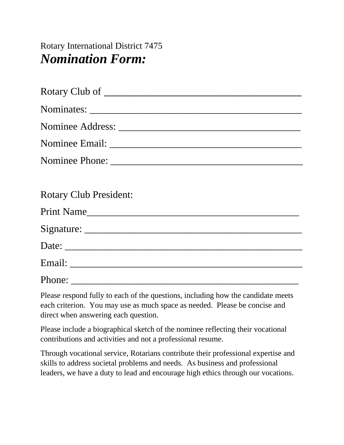Rotary International District 7475 *Nomination Form:*

| Rotary Club of                |
|-------------------------------|
|                               |
|                               |
|                               |
|                               |
|                               |
| <b>Rotary Club President:</b> |
| Print Name                    |
|                               |
|                               |
|                               |
|                               |

Please respond fully to each of the questions, including how the candidate meets each criterion. You may use as much space as needed. Please be concise and direct when answering each question.

Please include a biographical sketch of the nominee reflecting their vocational contributions and activities and not a professional resume.

Through vocational service, Rotarians contribute their professional expertise and skills to address societal problems and needs. As business and professional leaders, we have a duty to lead and encourage high ethics through our vocations.